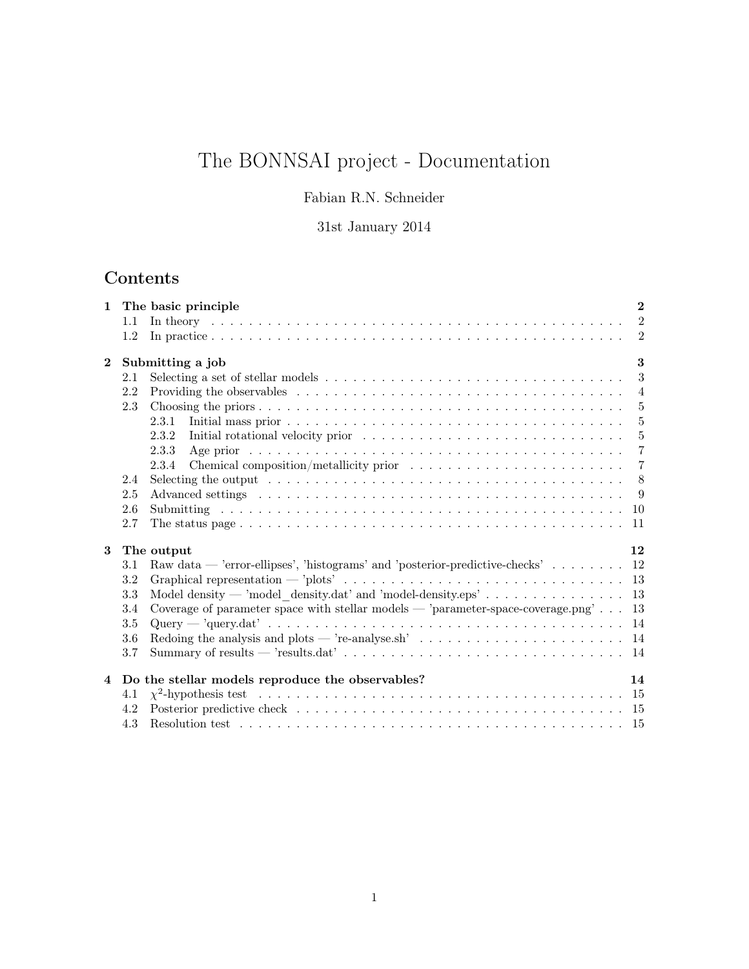# The BONNSAI project - Documentation

### Fabian R.N. Schneider

### 31st January 2014

## Contents

| $\mathbf{1}$ |         | The basic principle                                                                                                                                                                                                            | $\mathbf{2}$   |
|--------------|---------|--------------------------------------------------------------------------------------------------------------------------------------------------------------------------------------------------------------------------------|----------------|
|              | 1.1     | In theory and a construction of the construction of the construction of the construction of the construction of the construction of the construction of the construction of the construction of the construction of the constr | $\overline{2}$ |
|              | 1.2     |                                                                                                                                                                                                                                | $\overline{2}$ |
| $\mathbf{2}$ |         | Submitting a job                                                                                                                                                                                                               | 3              |
|              | 2.1     | Selecting a set of stellar models $\dots \dots \dots \dots \dots \dots \dots \dots \dots \dots \dots \dots \dots$                                                                                                              | $\sqrt{3}$     |
|              | 2.2     |                                                                                                                                                                                                                                | $\overline{4}$ |
|              | 2.3     |                                                                                                                                                                                                                                | $\overline{5}$ |
|              |         | 2.3.1                                                                                                                                                                                                                          | $\overline{5}$ |
|              |         | 2.3.2                                                                                                                                                                                                                          | $\bf 5$        |
|              |         | 2.3.3<br>Age prior $\dots \dots \dots \dots \dots \dots \dots \dots \dots \dots \dots \dots \dots \dots \dots \dots \dots$                                                                                                     | $\overline{7}$ |
|              |         | 2.3.4                                                                                                                                                                                                                          | $\overline{7}$ |
|              | 2.4     | Selecting the output $\ldots \ldots \ldots \ldots \ldots \ldots \ldots \ldots \ldots \ldots \ldots \ldots \ldots$                                                                                                              | 8              |
|              | $2.5\,$ | - 9                                                                                                                                                                                                                            |                |
|              | 2.6     | <b>10</b>                                                                                                                                                                                                                      |                |
|              | 2.7     | -11                                                                                                                                                                                                                            |                |
| 3            |         | The output                                                                                                                                                                                                                     | 12             |
|              | 3.1     | Raw data — 'error-ellipses', 'histograms' and 'posterior-predictive-checks' 12                                                                                                                                                 |                |
|              | $3.2\,$ |                                                                                                                                                                                                                                |                |
|              | 3.3     | Model density — 'model density.dat' and 'model-density.eps' $\dots \dots \dots \dots \dots$<br>13                                                                                                                              |                |
|              | 3.4     | Coverage of parameter space with stellar models — 'parameter-space-coverage.png'<br>13                                                                                                                                         |                |
|              | 3.5     |                                                                                                                                                                                                                                |                |
|              | 3.6     | Redoing the analysis and plots — 're-analyse.sh' $\dots \dots \dots \dots \dots \dots \dots \dots \dots \dots$                                                                                                                 |                |
|              | 3.7     |                                                                                                                                                                                                                                |                |
|              |         | 4 Do the stellar models reproduce the observables?                                                                                                                                                                             | 14             |
|              | 4.1     |                                                                                                                                                                                                                                |                |
|              | 4.2     |                                                                                                                                                                                                                                |                |
|              | 4.3     |                                                                                                                                                                                                                                |                |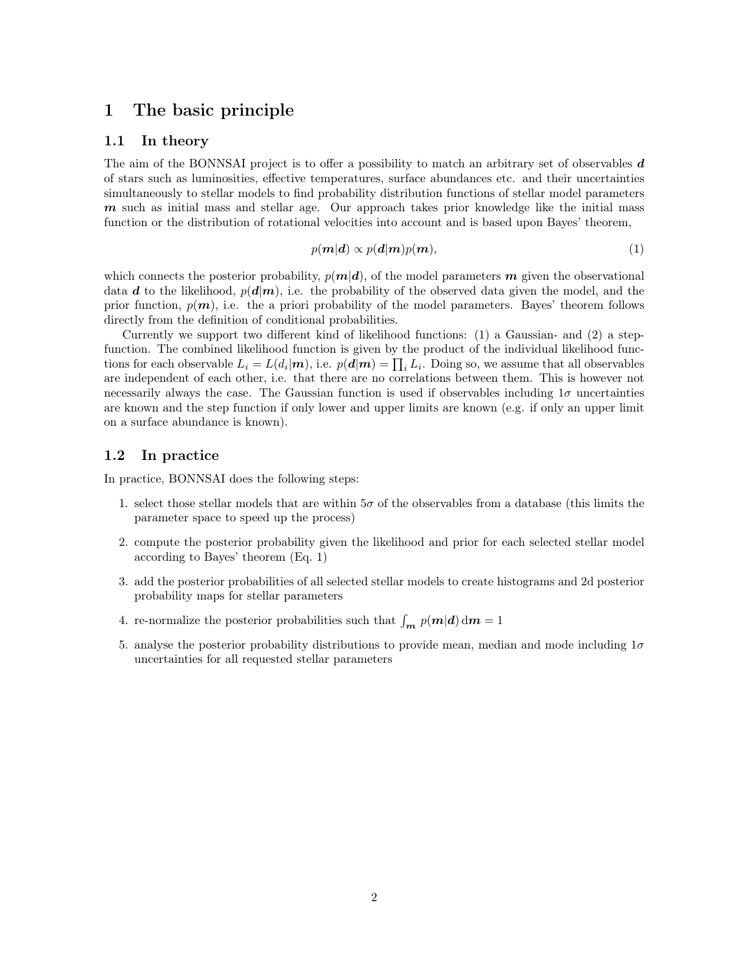### 1 The basic principle

### 1.1 In theory

The aim of the BONNSAI project is to offer a possibility to match an arbitrary set of observables  $d$ of stars such as luminosities, effective temperatures, surface abundances etc. and their uncertainties simultaneously to stellar models to find probability distribution functions of stellar model parameters  $m$  such as initial mass and stellar age. Our approach takes prior knowledge like the initial mass function or the distribution of rotational velocities into account and is based upon Bayes' theorem,

$$
p(\mathbf{m}|\mathbf{d}) \propto p(\mathbf{d}|\mathbf{m})p(\mathbf{m}),\tag{1}
$$

which connects the posterior probability,  $p(m|d)$ , of the model parameters m given the observational data d to the likelihood,  $p(d|m)$ , i.e. the probability of the observed data given the model, and the prior function,  $p(m)$ , i.e. the a priori probability of the model parameters. Bayes' theorem follows directly from the definition of conditional probabilities.

Currently we support two different kind of likelihood functions: (1) a Gaussian- and (2) a stepfunction. The combined likelihood function is given by the product of the individual likelihood functions for each observable  $L_i = L(d_i | \mathbf{m})$ , i.e.  $p(\mathbf{d} | \mathbf{m}) = \prod_i L_i$ . Doing so, we assume that all observables are independent of each other, i.e. that there are no correlations between them. This is however not necessarily always the case. The Gaussian function is used if observables including  $1\sigma$  uncertainties are known and the step function if only lower and upper limits are known (e.g. if only an upper limit on a surface abundance is known).

#### 1.2 In practice

In practice, BONNSAI does the following steps:

- 1. select those stellar models that are within  $5\sigma$  of the observables from a database (this limits the parameter space to speed up the process)
- 2. compute the posterior probability given the likelihood and prior for each selected stellar model according to Bayes' theorem (Eq. 1)
- 3. add the posterior probabilities of all selected stellar models to create histograms and 2d posterior probability maps for stellar parameters
- 4. re-normalize the posterior probabilities such that  $\int_{m} p(m|\boldsymbol{d}) dm = 1$
- 5. analyse the posterior probability distributions to provide mean, median and mode including  $1\sigma$ uncertainties for all requested stellar parameters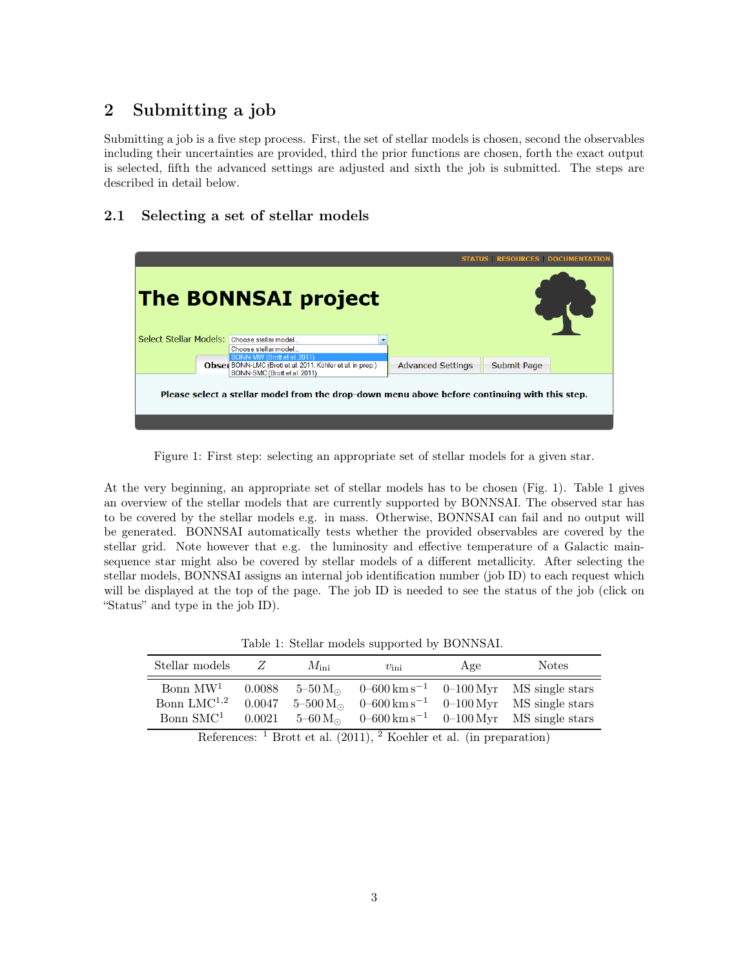### 2 Submitting a job

Submitting a job is a five step process. First, the set of stellar models is chosen, second the observables including their uncertainties are provided, third the prior functions are chosen, forth the exact output is selected, fifth the advanced settings are adjusted and sixth the job is submitted. The steps are described in detail below.

### 2.1 Selecting a set of stellar models

|                                             | <b>The BONNSAI project</b>                                                                                                |                          | <b>STATUS RESOURCES DOCUMENTATION</b> |  |
|---------------------------------------------|---------------------------------------------------------------------------------------------------------------------------|--------------------------|---------------------------------------|--|
| Select Stellar Models: Choose stellar model | Choose stellar model                                                                                                      |                          |                                       |  |
|                                             | BONN-MW (Brott et al. 2011)<br>Obser BONN-LMC (Brott et al. 2011, Köhler et al. in prep.)<br>BONN-SMC (Brott et al. 2011) | <b>Advanced Settings</b> | <b>Submit Page</b>                    |  |
|                                             | Please select a stellar model from the drop-down menu above before continuing with this step.                             |                          |                                       |  |

Figure 1: First step: selecting an appropriate set of stellar models for a given star.

At the very beginning, an appropriate set of stellar models has to be chosen (Fig. 1). Table 1 gives an overview of the stellar models that are currently supported by BONNSAI. The observed star has to be covered by the stellar models e.g. in mass. Otherwise, BONNSAI can fail and no output will be generated. BONNSAI automatically tests whether the provided observables are covered by the stellar grid. Note however that e.g. the luminosity and effective temperature of a Galactic mainsequence star might also be covered by stellar models of a different metallicity. After selecting the stellar models, BONNSAI assigns an internal job identification number (job ID) to each request which will be displayed at the top of the page. The job ID is needed to see the status of the job (click on "Status" and type in the job ID).

Table 1: Stellar models supported by BONNSAI.

| Stellar models                                        | Z                          | $M_{\rm ini}$ | $v_{\rm ini}$ | Age | <b>Notes</b>                                                                                                                                                                                                               |
|-------------------------------------------------------|----------------------------|---------------|---------------|-----|----------------------------------------------------------------------------------------------------------------------------------------------------------------------------------------------------------------------------|
| Bonn $MW1$<br>Bonn $LMC^{1,2}$<br>Bonn $\text{SMC}^1$ | 0.0088<br>0.0047<br>0.0021 |               |               |     | $5-50 \text{ M}_{\odot}$ 0-600 km s <sup>-1</sup> 0-100 Myr MS single stars<br>$5-500 M_{\odot}$ 0-600 km s <sup>-1</sup> 0-100 Myr MS single stars<br>$5-60 M_{\odot}$ 0-600 km s <sup>-1</sup> 0-100 Myr MS single stars |

References:  $\frac{1}{1}$  Brott et al. (2011),  $\frac{2}{1}$  Koehler et al. (in preparation)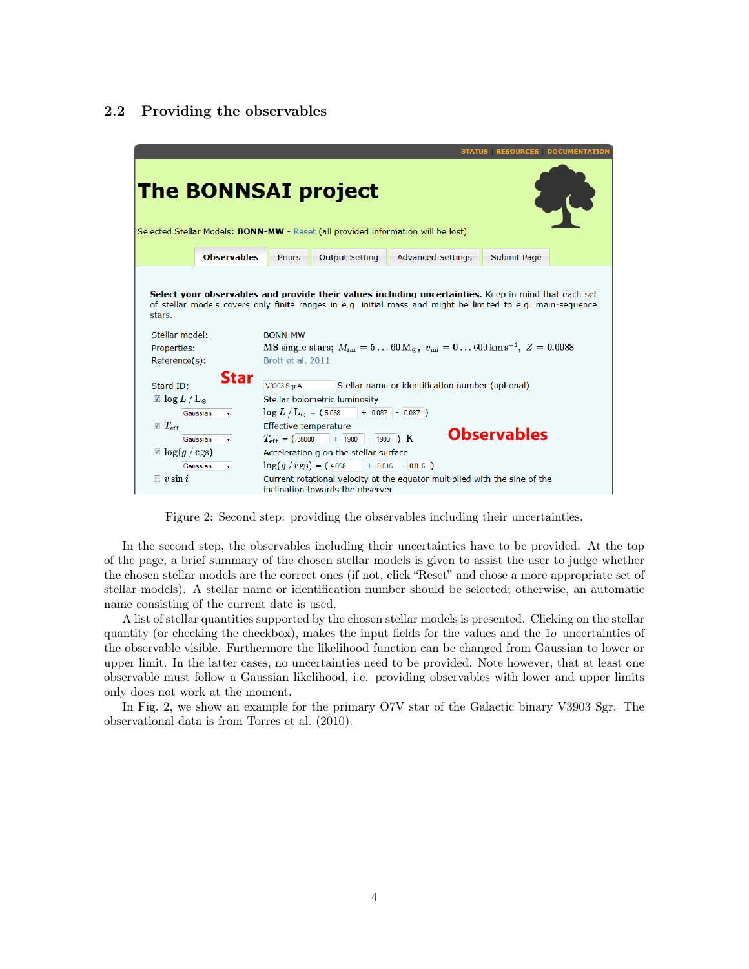#### 2.2 Providing the observables

|                                                                                                                                                                                                                                                                                                                                                                                                  |                                                                                                                                         |                                                                                               |                                                                                                                                                                                                                         |                                                                                                                                | <b>STATUS RESOURCES DOCUMENTATION</b> |  |  |
|--------------------------------------------------------------------------------------------------------------------------------------------------------------------------------------------------------------------------------------------------------------------------------------------------------------------------------------------------------------------------------------------------|-----------------------------------------------------------------------------------------------------------------------------------------|-----------------------------------------------------------------------------------------------|-------------------------------------------------------------------------------------------------------------------------------------------------------------------------------------------------------------------------|--------------------------------------------------------------------------------------------------------------------------------|---------------------------------------|--|--|
| <b>The BONNSAI project</b><br>Selected Stellar Models: <b>BONN-MW</b> - Reset (all provided information will be lost)                                                                                                                                                                                                                                                                            |                                                                                                                                         |                                                                                               |                                                                                                                                                                                                                         |                                                                                                                                |                                       |  |  |
|                                                                                                                                                                                                                                                                                                                                                                                                  | <b>Observables</b>                                                                                                                      | <b>Priors</b>                                                                                 | <b>Output Setting</b>                                                                                                                                                                                                   | <b>Advanced Settings</b>                                                                                                       | <b>Submit Page</b>                    |  |  |
| Select your observables and provide their values including uncertainties. Keep in mind that each set<br>of stellar models covers only finite ranges in e.g. initial mass and might be limited to e.g. main-sequence<br>stars.<br>Stellar model:<br><b>BONN-MW</b><br>MS single stars; $M_{\text{ini}} = 560 M_{\odot}$ , $v_{\text{ini}} = 0600 \text{ km s}^{-1}$ , $Z = 0.0088$<br>Properties: |                                                                                                                                         |                                                                                               |                                                                                                                                                                                                                         |                                                                                                                                |                                       |  |  |
| Reference(s):<br>Stard ID:<br>$\boxtimes$ log $L/L_{\odot}$<br>$\triangledown T_{\rm eff}$<br>$\Box$ $\log(g/\text{cgs})$<br>$\Box$ v sin i                                                                                                                                                                                                                                                      | Star<br>Gaussian<br>$\left\vert \mathbf{v}\right\vert$ and $\left\vert \mathbf{v}\right\vert$<br>Gaussian<br>$\blacksquare$<br>Gaussian | Brott et al. 2011<br>V3903 Sqr A<br>Effective temperature<br>inclination towards the observer | Stellar bolometric luminosity<br>$\log L/L_{\odot} = (5.088 + 0.087 - 0.087)$<br>$T_{\text{eff}}$ = (38000 + 1900 - 1900 ) K<br>Acceleration g on the stellar surface<br>$\log(g/\text{cgs}) = (4.058 + 0.016 - 0.016)$ | Stellar name or identification number (optional)<br>Current rotational velocity at the equator multiplied with the sine of the | <b>Observables</b>                    |  |  |

Figure 2: Second step: providing the observables including their uncertainties.

In the second step, the observables including their uncertainties have to be provided. At the top of the page, a brief summary of the chosen stellar models is given to assist the user to judge whether the chosen stellar models are the correct ones (if not, click "Reset" and chose a more appropriate set of stellar models). A stellar name or identification number should be selected; otherwise, an automatic name consisting of the current date is used.

A list of stellar quantities supported by the chosen stellar models is presented. Clicking on the stellar quantity (or checking the checkbox), makes the input fields for the values and the  $1\sigma$  uncertainties of the observable visible. Furthermore the likelihood function can be changed from Gaussian to lower or upper limit. In the latter cases, no uncertainties need to be provided. Note however, that at least one observable must follow a Gaussian likelihood, i.e. providing observables with lower and upper limits only does not work at the moment.

In Fig. 2, we show an example for the primary O7V star of the Galactic binary V3903 Sgr. The observational data is from Torres et al. (2010).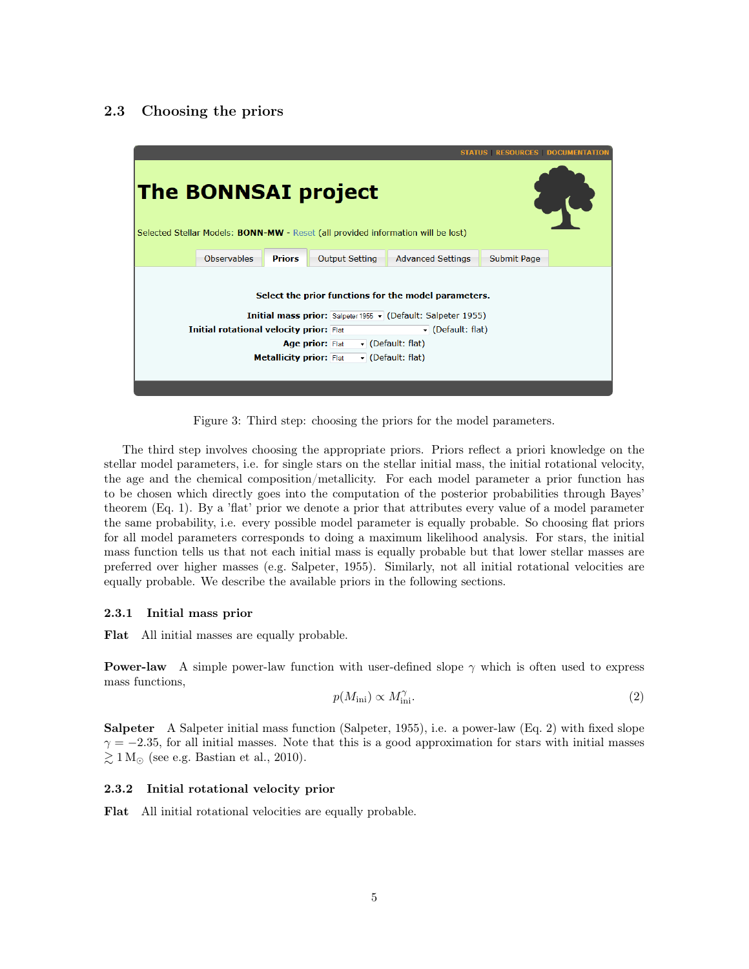### 2.3 Choosing the priors



Figure 3: Third step: choosing the priors for the model parameters.

The third step involves choosing the appropriate priors. Priors reflect a priori knowledge on the stellar model parameters, i.e. for single stars on the stellar initial mass, the initial rotational velocity, the age and the chemical composition/metallicity. For each model parameter a prior function has to be chosen which directly goes into the computation of the posterior probabilities through Bayes' theorem (Eq. 1). By a 'flat' prior we denote a prior that attributes every value of a model parameter the same probability, i.e. every possible model parameter is equally probable. So choosing flat priors for all model parameters corresponds to doing a maximum likelihood analysis. For stars, the initial mass function tells us that not each initial mass is equally probable but that lower stellar masses are preferred over higher masses (e.g. Salpeter, 1955). Similarly, not all initial rotational velocities are equally probable. We describe the available priors in the following sections.

#### 2.3.1 Initial mass prior

Flat All initial masses are equally probable.

**Power-law** A simple power-law function with user-defined slope  $\gamma$  which is often used to express mass functions,

$$
p(M_{\rm ini}) \propto M_{\rm ini}^{\gamma}.\tag{2}
$$

Salpeter A Salpeter initial mass function (Salpeter, 1955), i.e. a power-law (Eq. 2) with fixed slope  $\gamma = -2.35$ , for all initial masses. Note that this is a good approximation for stars with initial masses  $\gtrsim 1 \,\mathrm{M}_{\odot}$  (see e.g. Bastian et al., 2010).

#### 2.3.2 Initial rotational velocity prior

Flat All initial rotational velocities are equally probable.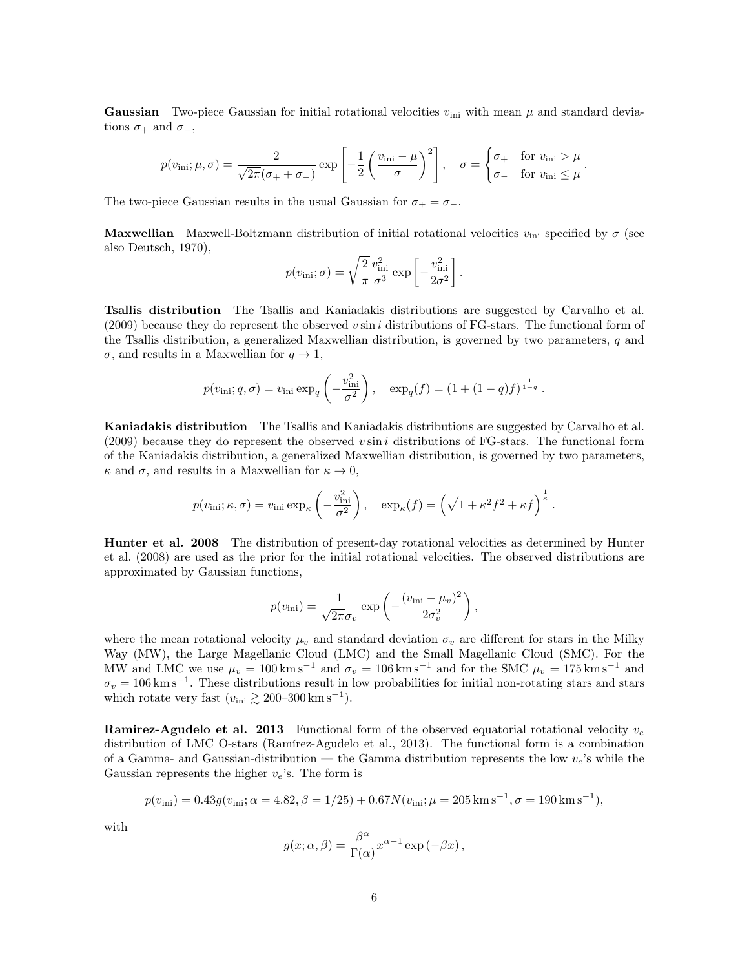**Gaussian** Two-piece Gaussian for initial rotational velocities  $v_{\text{ini}}$  with mean  $\mu$  and standard deviations  $\sigma_+$  and  $\sigma_-,$ 

$$
p(v_{\rm ini}; \mu, \sigma) = \frac{2}{\sqrt{2\pi}(\sigma_+ + \sigma_-)} \exp\left[-\frac{1}{2}\left(\frac{v_{\rm ini} - \mu}{\sigma}\right)^2\right], \quad \sigma = \begin{cases} \sigma_+ & \text{for } v_{\rm ini} > \mu \\ \sigma_- & \text{for } v_{\rm ini} \leq \mu \end{cases}.
$$

The two-piece Gaussian results in the usual Gaussian for  $\sigma_+ = \sigma_-$ .

**Maxwellian** Maxwell-Boltzmann distribution of initial rotational velocities  $v_{\text{ini}}$  specified by  $\sigma$  (see also Deutsch, 1970),

$$
p(v_{\text{ini}};\sigma) = \sqrt{\frac{2}{\pi}} \frac{v_{\text{ini}}^2}{\sigma^3} \exp\left[-\frac{v_{\text{ini}}^2}{2\sigma^2}\right].
$$

Tsallis distribution The Tsallis and Kaniadakis distributions are suggested by Carvalho et al.  $(2009)$  because they do represent the observed v sin i distributions of FG-stars. The functional form of the Tsallis distribution, a generalized Maxwellian distribution, is governed by two parameters,  $q$  and  $\sigma$ , and results in a Maxwellian for  $q \to 1$ ,

$$
p(v_{\text{ini}}; q, \sigma) = v_{\text{ini}} \exp_q\left(-\frac{v_{\text{ini}}^2}{\sigma^2}\right), \exp_q(f) = (1 + (1 - q)f)^{\frac{1}{1 - q}}.
$$

Kaniadakis distribution The Tsallis and Kaniadakis distributions are suggested by Carvalho et al. (2009) because they do represent the observed v sin i distributions of FG-stars. The functional form of the Kaniadakis distribution, a generalized Maxwellian distribution, is governed by two parameters,  $\kappa$  and  $\sigma$ , and results in a Maxwellian for  $\kappa \to 0$ ,

$$
p(v_{\rm ini}; \kappa, \sigma) = v_{\rm ini} \exp_{\kappa} \left( -\frac{v_{\rm ini}^2}{\sigma^2} \right), \quad \exp_{\kappa}(f) = \left( \sqrt{1 + \kappa^2 f^2} + \kappa f \right)^{\frac{1}{\kappa}}.
$$

Hunter et al. 2008 The distribution of present-day rotational velocities as determined by Hunter et al. (2008) are used as the prior for the initial rotational velocities. The observed distributions are approximated by Gaussian functions,

$$
p(v_{\rm ini}) = \frac{1}{\sqrt{2\pi}\sigma_v} \exp\left(-\frac{(v_{\rm ini} - \mu_v)^2}{2\sigma_v^2}\right),\,
$$

where the mean rotational velocity  $\mu_v$  and standard deviation  $\sigma_v$  are different for stars in the Milky Way (MW), the Large Magellanic Cloud (LMC) and the Small Magellanic Cloud (SMC). For the MW and LMC we use  $\mu_v = 100 \text{ km s}^{-1}$  and  $\sigma_v = 106 \text{ km s}^{-1}$  and for the SMC  $\mu_v = 175 \text{ km s}^{-1}$  and  $\sigma_v = 106 \,\mathrm{km \,s^{-1}}$ . These distributions result in low probabilities for initial non-rotating stars and stars which rotate very fast  $(v_{\text{ini}} \gtrsim 200-300 \text{ km s}^{-1})$ .

**Ramirez-Agudelo et al. 2013** Functional form of the observed equatorial rotational velocity  $v_e$ distribution of LMC O-stars (Ramírez-Agudelo et al., 2013). The functional form is a combination of a Gamma- and Gaussian-distribution — the Gamma distribution represents the low  $v_e$ 's while the Gaussian represents the higher  $v_e$ 's. The form is

$$
p(v_{\rm ini}) = 0.43g(v_{\rm ini}; \alpha = 4.82, \beta = 1/25) + 0.67N(v_{\rm ini}; \mu = 205 \,\mathrm{km\,s^{-1}}, \sigma = 190 \,\mathrm{km\,s^{-1}}),
$$

with

$$
g(x; \alpha, \beta) = \frac{\beta^{\alpha}}{\Gamma(\alpha)} x^{\alpha - 1} \exp(-\beta x),
$$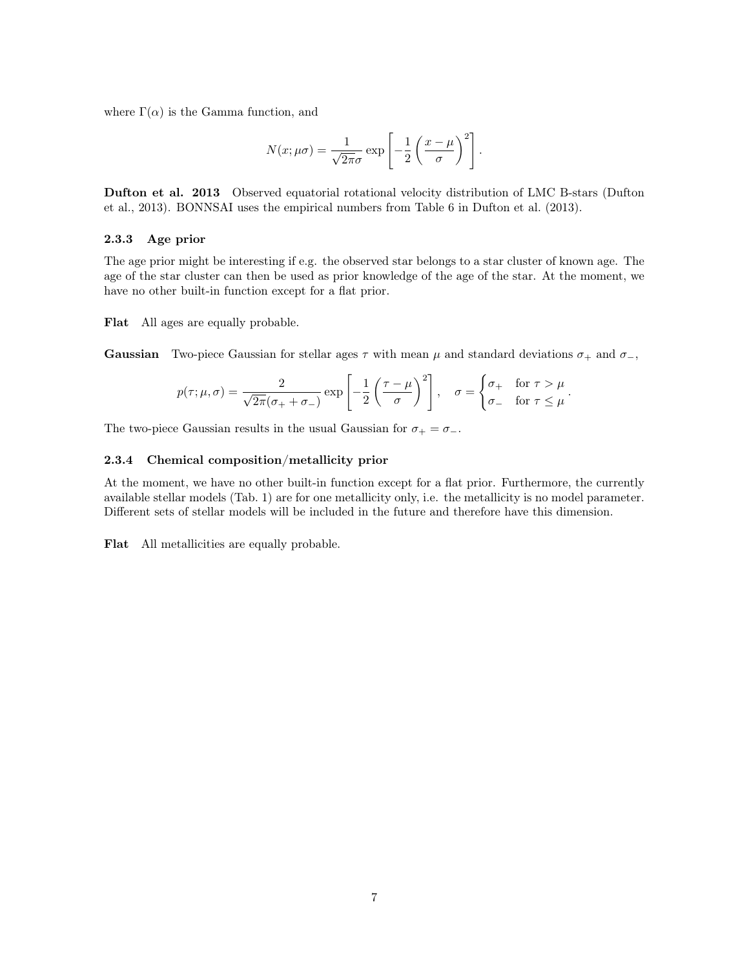where  $\Gamma(\alpha)$  is the Gamma function, and

$$
N(x; \mu \sigma) = \frac{1}{\sqrt{2\pi}\sigma} \exp\left[-\frac{1}{2}\left(\frac{x-\mu}{\sigma}\right)^2\right].
$$

Dufton et al. 2013 Observed equatorial rotational velocity distribution of LMC B-stars (Dufton et al., 2013). BONNSAI uses the empirical numbers from Table 6 in Dufton et al. (2013).

#### 2.3.3 Age prior

The age prior might be interesting if e.g. the observed star belongs to a star cluster of known age. The age of the star cluster can then be used as prior knowledge of the age of the star. At the moment, we have no other built-in function except for a flat prior.

Flat All ages are equally probable.

**Gaussian** Two-piece Gaussian for stellar ages  $\tau$  with mean  $\mu$  and standard deviations  $\sigma_+$  and  $\sigma_-$ ,

$$
p(\tau; \mu, \sigma) = \frac{2}{\sqrt{2\pi}(\sigma_+ + \sigma_-)} \exp\left[-\frac{1}{2}\left(\frac{\tau - \mu}{\sigma}\right)^2\right], \quad \sigma = \begin{cases} \sigma_+ & \text{for } \tau > \mu \\ \sigma_- & \text{for } \tau \leq \mu \end{cases}.
$$

The two-piece Gaussian results in the usual Gaussian for  $\sigma_+ = \sigma_-$ .

#### 2.3.4 Chemical composition/metallicity prior

At the moment, we have no other built-in function except for a flat prior. Furthermore, the currently available stellar models (Tab. 1) are for one metallicity only, i.e. the metallicity is no model parameter. Different sets of stellar models will be included in the future and therefore have this dimension.

Flat All metallicities are equally probable.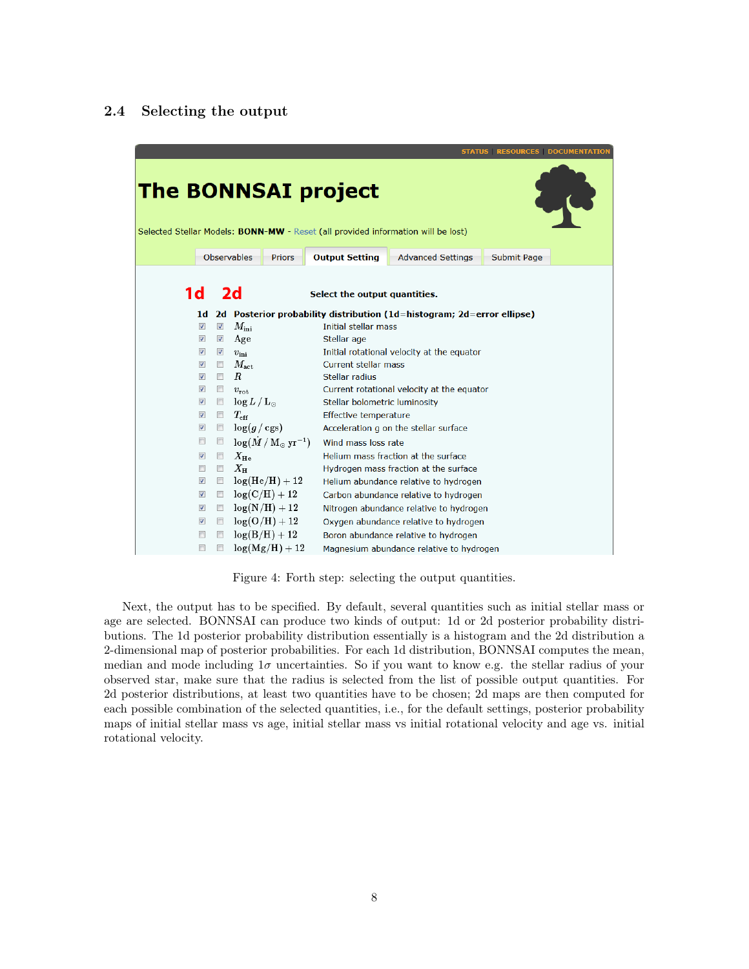#### 2.4 Selecting the output

|                                                                                                                |                          |                          |                           |                                                 |                               |                                                                        | <b>STATUS   RESOURCES   DOCUMENTATIOI</b> |  |
|----------------------------------------------------------------------------------------------------------------|--------------------------|--------------------------|---------------------------|-------------------------------------------------|-------------------------------|------------------------------------------------------------------------|-------------------------------------------|--|
| <b>The BONNSAI project</b><br>Selected Stellar Models: BONN-MW - Reset (all provided information will be lost) |                          |                          |                           |                                                 |                               |                                                                        |                                           |  |
|                                                                                                                |                          |                          | <b>Observables</b>        | <b>Priors</b>                                   | <b>Output Setting</b>         | <b>Advanced Settings</b>                                               | <b>Submit Page</b>                        |  |
| 1 <sub>d</sub>                                                                                                 |                          |                          | 2d                        |                                                 | Select the output quantities. |                                                                        |                                           |  |
|                                                                                                                | 1d                       |                          |                           |                                                 |                               | 2d Posterior probability distribution (1d=histogram; 2d=error ellipse) |                                           |  |
|                                                                                                                | $\overline{\mathbf{v}}$  | $\overline{\mathbf{v}}$  | $M_{\rm ini}$             |                                                 | Initial stellar mass          |                                                                        |                                           |  |
|                                                                                                                | $\sqrt{2}$               | $\blacktriangledown$     | Age                       |                                                 | Stellar age                   |                                                                        |                                           |  |
|                                                                                                                | $\sqrt{2}$               | $\sqrt{}$                | $v_{\rm ini}$             |                                                 |                               | Initial rotational velocity at the equator                             |                                           |  |
|                                                                                                                | $\overline{\mathcal{J}}$ |                          | $\Box$ $M_{\rm act}$      |                                                 | <b>Current stellar mass</b>   |                                                                        |                                           |  |
|                                                                                                                | $\overline{\mathbf{v}}$  | $\overline{\phantom{a}}$ | $\boldsymbol{R}$          |                                                 | Stellar radius                |                                                                        |                                           |  |
|                                                                                                                | $\overline{\mathbf{v}}$  |                          | $v_{\rm rot}$             |                                                 |                               | Current rotational velocity at the equator                             |                                           |  |
|                                                                                                                | $\overline{\mathbf{v}}$  |                          | $\Box$ $\log L/L_{\odot}$ |                                                 | Stellar bolometric luminosity |                                                                        |                                           |  |
|                                                                                                                | $\overline{\mathbf{v}}$  |                          | $T_{\rm eff}$             |                                                 | Effective temperature         |                                                                        |                                           |  |
|                                                                                                                | $\boldsymbol{J}$         |                          | $\Box$ $\log(g/\cgs)$     |                                                 |                               | Acceleration g on the stellar surface                                  |                                           |  |
|                                                                                                                | $\Box$                   |                          |                           | $\Box$ $\log(\dot{M}/M_{\odot} \,\rm{yr}^{-1})$ | Wind mass loss rate           |                                                                        |                                           |  |
|                                                                                                                | $\sqrt{2}$               |                          | $\Box$ $X_{\rm He}$       |                                                 |                               | Helium mass fraction at the surface                                    |                                           |  |
|                                                                                                                | $\Box$                   |                          | $\Box$ $X_{\rm H}$        |                                                 |                               | Hydrogen mass fraction at the surface                                  |                                           |  |
|                                                                                                                | $\overline{\mathbf{v}}$  |                          |                           | $\Box$ log(He/H) + 12                           |                               | Helium abundance relative to hydrogen                                  |                                           |  |
|                                                                                                                | $\overline{\mathsf{v}}$  |                          |                           | $\Box$ log(C/H) + 12                            |                               | Carbon abundance relative to hydrogen                                  |                                           |  |
|                                                                                                                | $\sqrt{2}$               |                          |                           | $\Box$ $\log(N/H) + 12$                         |                               | Nitrogen abundance relative to hydrogen                                |                                           |  |
|                                                                                                                | $\overline{\mathbf{v}}$  |                          |                           | $\Box$ log(O/H) + 12                            |                               | Oxygen abundance relative to hydrogen                                  |                                           |  |
|                                                                                                                | $\Box$                   |                          |                           | $\Box$ log(B/H) + 12                            |                               | Boron abundance relative to hydrogen                                   |                                           |  |
|                                                                                                                | $\blacksquare$           |                          |                           | $\Box$ log(Mg/H) + 12                           |                               | Magnesium abundance relative to hydrogen                               |                                           |  |

Figure 4: Forth step: selecting the output quantities.

Next, the output has to be specified. By default, several quantities such as initial stellar mass or age are selected. BONNSAI can produce two kinds of output: 1d or 2d posterior probability distributions. The 1d posterior probability distribution essentially is a histogram and the 2d distribution a 2-dimensional map of posterior probabilities. For each 1d distribution, BONNSAI computes the mean, median and mode including  $1\sigma$  uncertainties. So if you want to know e.g. the stellar radius of your observed star, make sure that the radius is selected from the list of possible output quantities. For 2d posterior distributions, at least two quantities have to be chosen; 2d maps are then computed for each possible combination of the selected quantities, i.e., for the default settings, posterior probability maps of initial stellar mass vs age, initial stellar mass vs initial rotational velocity and age vs. initial rotational velocity.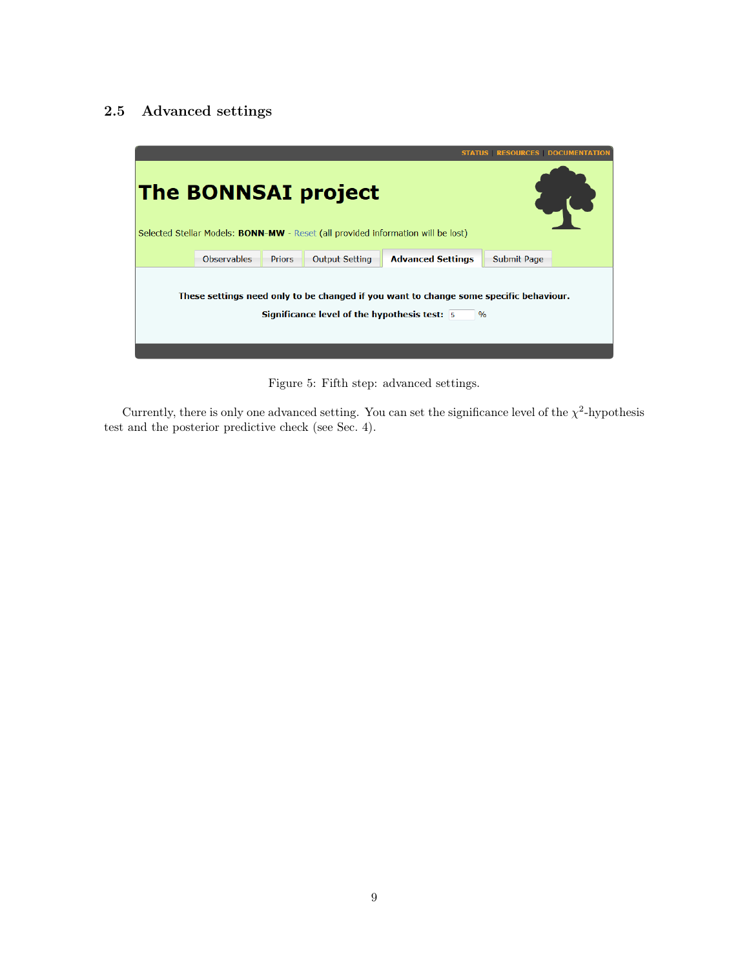### 2.5 Advanced settings



Figure 5: Fifth step: advanced settings.

Currently, there is only one advanced setting. You can set the significance level of the  $\chi^2$ -hypothesis test and the posterior predictive check (see Sec. 4).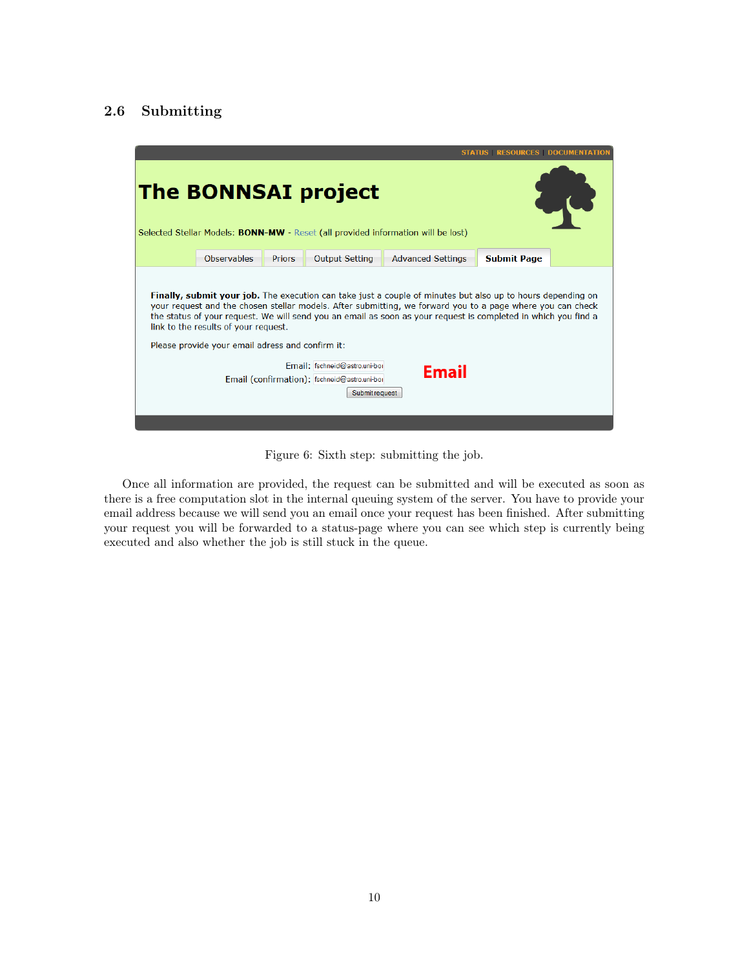### 2.6 Submitting



Figure 6: Sixth step: submitting the job.

Once all information are provided, the request can be submitted and will be executed as soon as there is a free computation slot in the internal queuing system of the server. You have to provide your email address because we will send you an email once your request has been finished. After submitting your request you will be forwarded to a status-page where you can see which step is currently being executed and also whether the job is still stuck in the queue.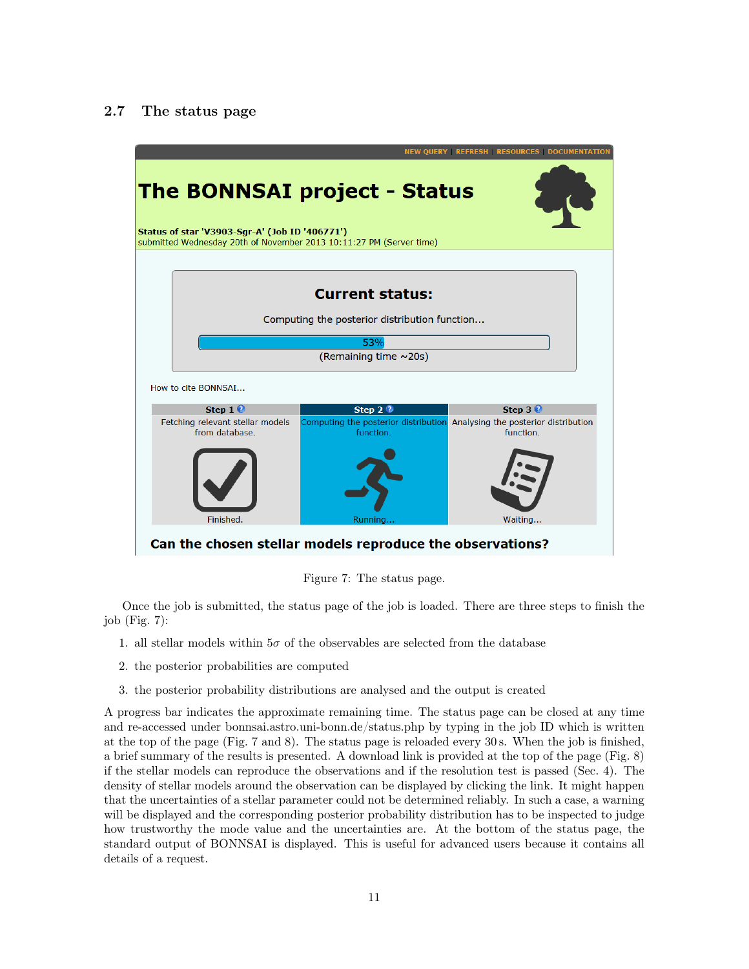#### 2.7 The status page



Figure 7: The status page.

Once the job is submitted, the status page of the job is loaded. There are three steps to finish the job (Fig. 7):

- 1. all stellar models within  $5\sigma$  of the observables are selected from the database
- 2. the posterior probabilities are computed
- 3. the posterior probability distributions are analysed and the output is created

A progress bar indicates the approximate remaining time. The status page can be closed at any time and re-accessed under bonnsai.astro.uni-bonn.de/status.php by typing in the job ID which is written at the top of the page (Fig. 7 and 8). The status page is reloaded every 30 s. When the job is finished, a brief summary of the results is presented. A download link is provided at the top of the page (Fig. 8) if the stellar models can reproduce the observations and if the resolution test is passed (Sec. 4). The density of stellar models around the observation can be displayed by clicking the link. It might happen that the uncertainties of a stellar parameter could not be determined reliably. In such a case, a warning will be displayed and the corresponding posterior probability distribution has to be inspected to judge how trustworthy the mode value and the uncertainties are. At the bottom of the status page, the standard output of BONNSAI is displayed. This is useful for advanced users because it contains all details of a request.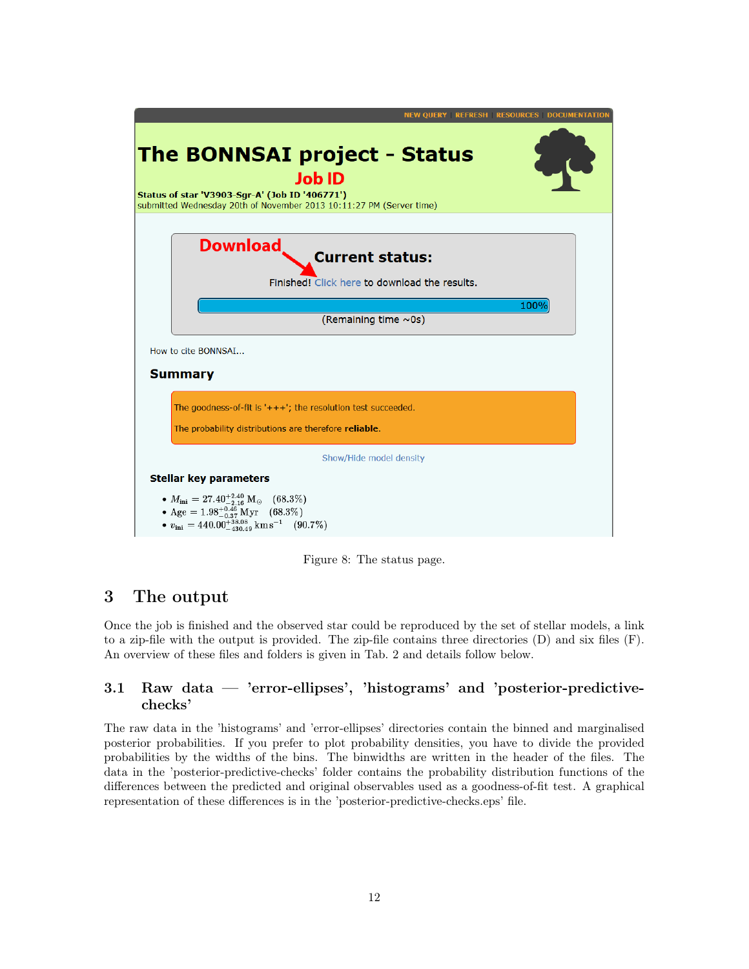| <b>NEW QUERY REFRESH RESOURCES DOCUMENTATION</b>                                                                                                                                       |  |
|----------------------------------------------------------------------------------------------------------------------------------------------------------------------------------------|--|
| <b>The BONNSAI project - Status</b><br><b>Job ID</b><br>Status of star 'V3903-Sgr-A' (Job ID '406771')<br>submitted Wednesday 20th of November 2013 10:11:27 PM (Server time)          |  |
| <b>Download</b><br><b>Current status:</b><br>Finished! Click here to download the results.                                                                                             |  |
| 100%<br>(Remaining time ~0s)                                                                                                                                                           |  |
| How to cite BONNSAI                                                                                                                                                                    |  |
| <b>Summary</b>                                                                                                                                                                         |  |
| The goodness-of-fit is $'+++$ ; the resolution test succeeded.<br>The probability distributions are therefore reliable.                                                                |  |
| Show/Hide model density                                                                                                                                                                |  |
| <b>Stellar key parameters</b>                                                                                                                                                          |  |
| $M_{\rm ini} = 27.40^{+2.40}_{-2.16} \rm\ M_{\odot}$ (68.3%)<br>• Age = $1.98^{+0.46}_{-0.37}$ Myr (68.3%)<br>• $v_{\text{ini}} = 440.00^{+38.08}_{-430.49} \text{ km s}^{-1}$ (90.7%) |  |

Figure 8: The status page.

### 3 The output

Once the job is finished and the observed star could be reproduced by the set of stellar models, a link to a zip-file with the output is provided. The zip-file contains three directories (D) and six files (F). An overview of these files and folders is given in Tab. 2 and details follow below.

### 3.1 Raw data — 'error-ellipses', 'histograms' and 'posterior-predictivechecks'

The raw data in the 'histograms' and 'error-ellipses' directories contain the binned and marginalised posterior probabilities. If you prefer to plot probability densities, you have to divide the provided probabilities by the widths of the bins. The binwidths are written in the header of the files. The data in the 'posterior-predictive-checks' folder contains the probability distribution functions of the differences between the predicted and original observables used as a goodness-of-fit test. A graphical representation of these differences is in the 'posterior-predictive-checks.eps' file.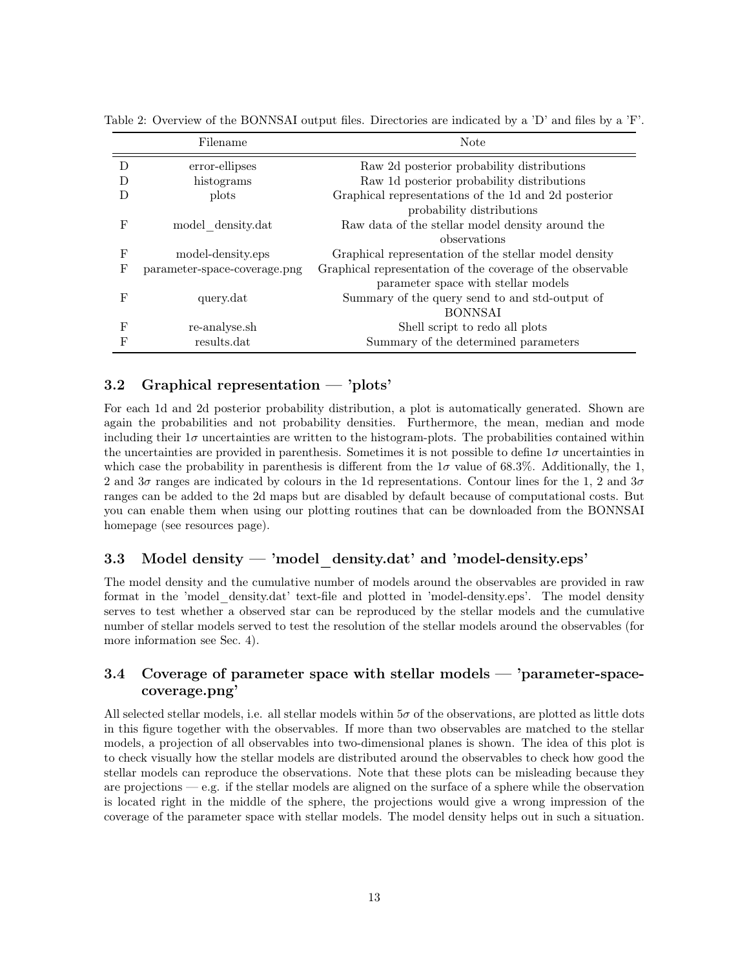|            | Filename                     | <b>Note</b>                                                |
|------------|------------------------------|------------------------------------------------------------|
|            | error-ellipses               | Raw 2d posterior probability distributions                 |
|            | histograms                   | Raw 1d posterior probability distributions                 |
|            | plots                        | Graphical representations of the 1d and 2d posterior       |
|            |                              | probability distributions                                  |
| F          | model density.dat            | Raw data of the stellar model density around the           |
|            |                              | observations                                               |
| F          | model-density.eps            | Graphical representation of the stellar model density      |
| $_{\rm F}$ | parameter-space-coverage.png | Graphical representation of the coverage of the observable |
|            |                              | parameter space with stellar models                        |
| F          | query.dat                    | Summary of the query send to and std-output of             |
|            |                              | <b>BONNSAI</b>                                             |
| F          | re-analyse.sh                | Shell script to redo all plots                             |
|            | results.dat                  | Summary of the determined parameters                       |

Table 2: Overview of the BONNSAI output files. Directories are indicated by a 'D' and files by a 'F'.

#### 3.2 Graphical representation — 'plots'

For each 1d and 2d posterior probability distribution, a plot is automatically generated. Shown are again the probabilities and not probability densities. Furthermore, the mean, median and mode including their  $1\sigma$  uncertainties are written to the histogram-plots. The probabilities contained within the uncertainties are provided in parenthesis. Sometimes it is not possible to define  $1\sigma$  uncertainties in which case the probability in parenthesis is different from the  $1\sigma$  value of 68.3%. Additionally, the 1, 2 and  $3\sigma$  ranges are indicated by colours in the 1d representations. Contour lines for the 1, 2 and  $3\sigma$ ranges can be added to the 2d maps but are disabled by default because of computational costs. But you can enable them when using our plotting routines that can be downloaded from the BONNSAI homepage (see resources page).

### 3.3 Model density  $-$  'model density.dat' and 'model-density.eps'

The model density and the cumulative number of models around the observables are provided in raw format in the 'model\_density.dat' text-file and plotted in 'model-density.eps'. The model density serves to test whether a observed star can be reproduced by the stellar models and the cumulative number of stellar models served to test the resolution of the stellar models around the observables (for more information see Sec. 4).

### 3.4 Coverage of parameter space with stellar models — 'parameter-spacecoverage.png'

All selected stellar models, i.e. all stellar models within  $5\sigma$  of the observations, are plotted as little dots in this figure together with the observables. If more than two observables are matched to the stellar models, a projection of all observables into two-dimensional planes is shown. The idea of this plot is to check visually how the stellar models are distributed around the observables to check how good the stellar models can reproduce the observations. Note that these plots can be misleading because they are projections — e.g. if the stellar models are aligned on the surface of a sphere while the observation is located right in the middle of the sphere, the projections would give a wrong impression of the coverage of the parameter space with stellar models. The model density helps out in such a situation.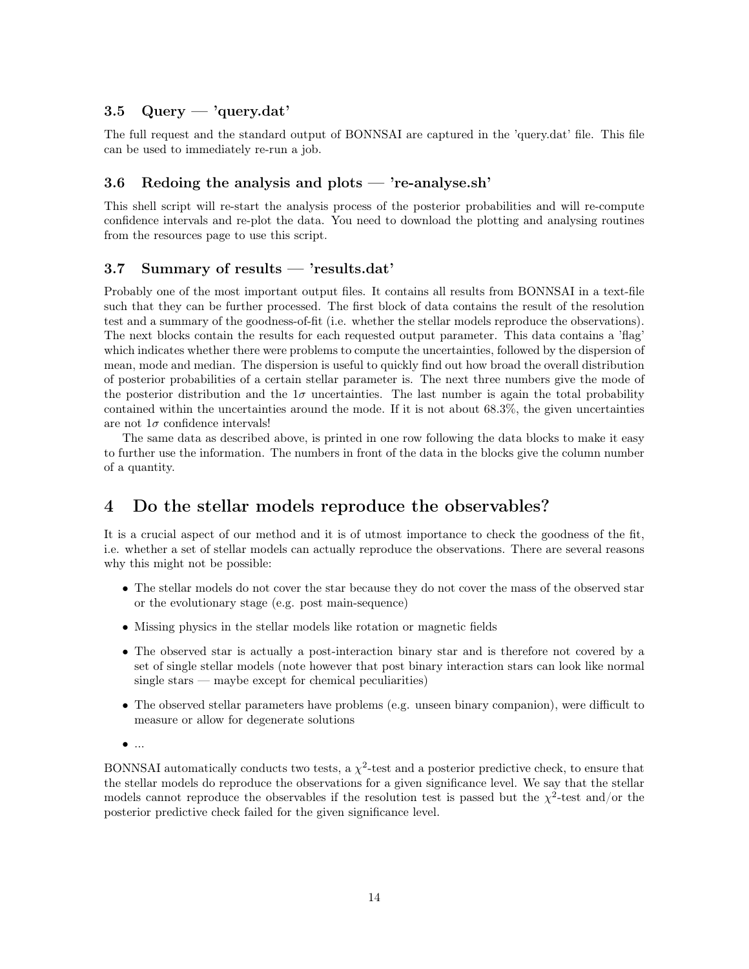### 3.5 Query — 'query.dat'

The full request and the standard output of BONNSAI are captured in the 'query.dat' file. This file can be used to immediately re-run a job.

#### 3.6 Redoing the analysis and plots  $-$  're-analyse.sh'

This shell script will re-start the analysis process of the posterior probabilities and will re-compute confidence intervals and re-plot the data. You need to download the plotting and analysing routines from the resources page to use this script.

### 3.7 Summary of results — 'results.dat'

Probably one of the most important output files. It contains all results from BONNSAI in a text-file such that they can be further processed. The first block of data contains the result of the resolution test and a summary of the goodness-of-fit (i.e. whether the stellar models reproduce the observations). The next blocks contain the results for each requested output parameter. This data contains a 'flag' which indicates whether there were problems to compute the uncertainties, followed by the dispersion of mean, mode and median. The dispersion is useful to quickly find out how broad the overall distribution of posterior probabilities of a certain stellar parameter is. The next three numbers give the mode of the posterior distribution and the  $1\sigma$  uncertainties. The last number is again the total probability contained within the uncertainties around the mode. If it is not about 68.3%, the given uncertainties are not  $1\sigma$  confidence intervals!

The same data as described above, is printed in one row following the data blocks to make it easy to further use the information. The numbers in front of the data in the blocks give the column number of a quantity.

### 4 Do the stellar models reproduce the observables?

It is a crucial aspect of our method and it is of utmost importance to check the goodness of the fit, i.e. whether a set of stellar models can actually reproduce the observations. There are several reasons why this might not be possible:

- The stellar models do not cover the star because they do not cover the mass of the observed star or the evolutionary stage (e.g. post main-sequence)
- Missing physics in the stellar models like rotation or magnetic fields
- The observed star is actually a post-interaction binary star and is therefore not covered by a set of single stellar models (note however that post binary interaction stars can look like normal single stars — maybe except for chemical peculiarities)
- The observed stellar parameters have problems (e.g. unseen binary companion), were difficult to measure or allow for degenerate solutions
- ...

BONNSAI automatically conducts two tests, a  $\chi^2$ -test and a posterior predictive check, to ensure that the stellar models do reproduce the observations for a given significance level. We say that the stellar models cannot reproduce the observables if the resolution test is passed but the  $\chi^2$ -test and/or the posterior predictive check failed for the given significance level.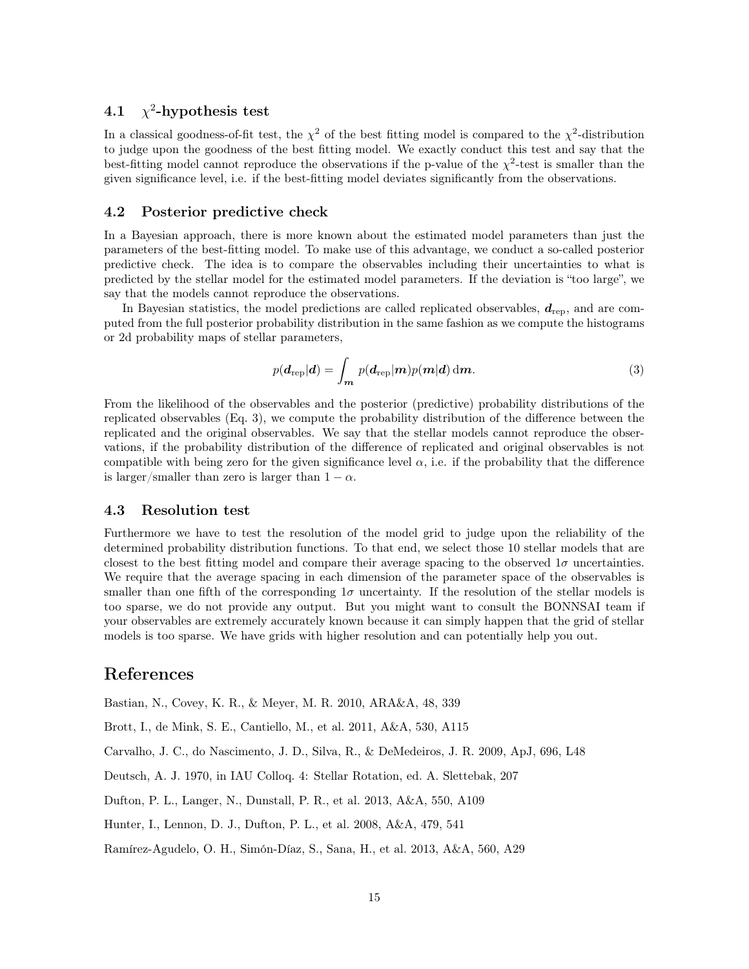#### 4.1 χ 2 -hypothesis test

In a classical goodness-of-fit test, the  $\chi^2$  of the best fitting model is compared to the  $\chi^2$ -distribution to judge upon the goodness of the best fitting model. We exactly conduct this test and say that the best-fitting model cannot reproduce the observations if the p-value of the  $\chi^2$ -test is smaller than the given significance level, i.e. if the best-fitting model deviates significantly from the observations.

#### 4.2 Posterior predictive check

In a Bayesian approach, there is more known about the estimated model parameters than just the parameters of the best-fitting model. To make use of this advantage, we conduct a so-called posterior predictive check. The idea is to compare the observables including their uncertainties to what is predicted by the stellar model for the estimated model parameters. If the deviation is "too large", we say that the models cannot reproduce the observations.

In Bayesian statistics, the model predictions are called replicated observables,  $d_{\text{rep}}$ , and are computed from the full posterior probability distribution in the same fashion as we compute the histograms or 2d probability maps of stellar parameters,

$$
p(\boldsymbol{d}_{\text{rep}}|\boldsymbol{d}) = \int_{\boldsymbol{m}} p(\boldsymbol{d}_{\text{rep}}|\boldsymbol{m}) p(\boldsymbol{m}|\boldsymbol{d}) \, \mathrm{d}\boldsymbol{m}.
$$
 (3)

From the likelihood of the observables and the posterior (predictive) probability distributions of the replicated observables (Eq. 3), we compute the probability distribution of the difference between the replicated and the original observables. We say that the stellar models cannot reproduce the observations, if the probability distribution of the difference of replicated and original observables is not compatible with being zero for the given significance level  $\alpha$ , i.e. if the probability that the difference is larger/smaller than zero is larger than  $1 - \alpha$ .

#### 4.3 Resolution test

Furthermore we have to test the resolution of the model grid to judge upon the reliability of the determined probability distribution functions. To that end, we select those 10 stellar models that are closest to the best fitting model and compare their average spacing to the observed  $1\sigma$  uncertainties. We require that the average spacing in each dimension of the parameter space of the observables is smaller than one fifth of the corresponding  $1\sigma$  uncertainty. If the resolution of the stellar models is too sparse, we do not provide any output. But you might want to consult the BONNSAI team if your observables are extremely accurately known because it can simply happen that the grid of stellar models is too sparse. We have grids with higher resolution and can potentially help you out.

### References

Bastian, N., Covey, K. R., & Meyer, M. R. 2010, ARA&A, 48, 339

Brott, I., de Mink, S. E., Cantiello, M., et al. 2011, A&A, 530, A115

Carvalho, J. C., do Nascimento, J. D., Silva, R., & DeMedeiros, J. R. 2009, ApJ, 696, L48

Deutsch, A. J. 1970, in IAU Colloq. 4: Stellar Rotation, ed. A. Slettebak, 207

Dufton, P. L., Langer, N., Dunstall, P. R., et al. 2013, A&A, 550, A109

Hunter, I., Lennon, D. J., Dufton, P. L., et al. 2008, A&A, 479, 541

Ramírez-Agudelo, O. H., Simón-Díaz, S., Sana, H., et al. 2013, A&A, 560, A29